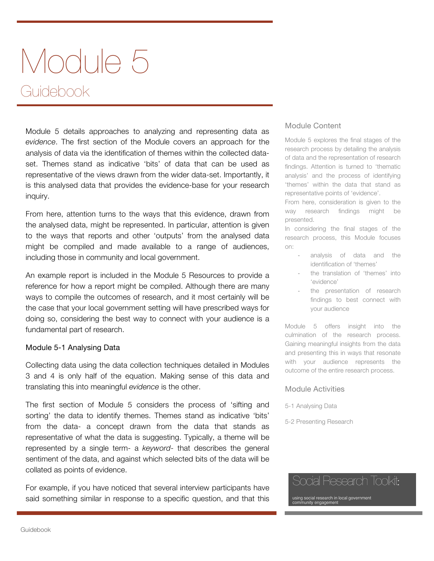# Module 5 Guidebook

Module 5 details approaches to analyzing and representing data as *evidence*. The first section of the Module covers an approach for the analysis of data via the identification of themes within the collected dataset. Themes stand as indicative 'bits' of data that can be used as representative of the views drawn from the wider data-set. Importantly, it is this analysed data that provides the evidence-base for your research inquiry.

From here, attention turns to the ways that this evidence, drawn from the analysed data, might be represented. In particular, attention is given to the ways that reports and other 'outputs' from the analysed data might be compiled and made available to a range of audiences, including those in community and local government.

An example report is included in the Module 5 Resources to provide a reference for how a report might be compiled. Although there are many ways to compile the outcomes of research, and it most certainly will be the case that your local government setting will have prescribed ways for doing so, considering the best way to connect with your audience is a fundamental part of research.

### Module 5-1 Analysing Data

Collecting data using the data collection techniques detailed in Modules 3 and 4 is only half of the equation. Making sense of this data and translating this into meaningful *evidence* is the other.

The first section of Module 5 considers the process of 'sifting and sorting' the data to identify themes. Themes stand as indicative 'bits' from the data- a concept drawn from the data that stands as representative of what the data is suggesting. Typically, a theme will be represented by a single term- a *keyword*- that describes the general sentiment of the data, and against which selected bits of the data will be collated as points of evidence.

For example, if you have noticed that several interview participants have said something similar in response to a specific question, and that this

### Module Content

Module 5 explores the final stages of the research process by detailing the analysis of data and the representation of research findings. Attention is turned to 'thematic analysis' and the process of identifying 'themes' within the data that stand as representative points of 'evidence'.

From here, consideration is given to the way research findings might be presented.

In considering the final stages of the research process, this Module focuses on:

- analysis of data and the identification of 'themes'
- the translation of 'themes' into 'evidence'
- the presentation of research findings to best connect with your audience

Module 5 offers insight into the culmination of the research process. Gaining meaningful insights from the data and presenting this in ways that resonate with your audience represents the outcome of the entire research process.

#### Module Activities

5-1 Analysing Data

5-2 Presenting Research

# Social Research Toolkit:

using social research in local government